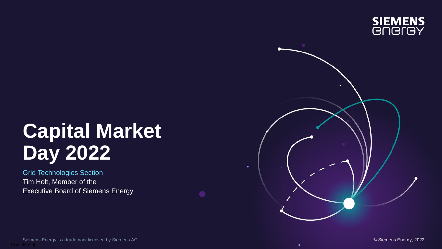

# **Capital Market Day 2022**

Grid Technologies Section Tim Holt, Member of the Executive Board of Siemens Energy

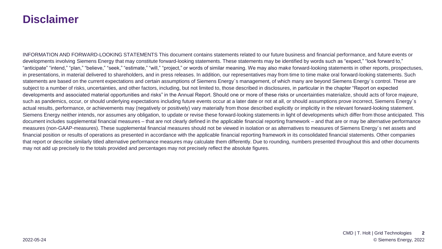#### **Disclaimer**

INFORMATION AND FORWARD-LOOKING STATEMENTS This document contains statements related to our future business and financial performance, and future events or developments involving Siemens Energy that may constitute forward-looking statements. These statements may be identified by words such as "expect," "look forward to," "anticipate" "intend," "plan," "believe," "seek," "estimate," "will," "project," or words of similar meaning. We may also make forward-looking statements in other reports, prospectuses, in presentations, in material delivered to shareholders, and in press releases. In addition, our representatives may from time to time make oral forward-looking statements. Such statements are based on the current expectations and certain assumptions of Siemens Energy´s management, of which many are beyond Siemens Energy´s control. These are subject to a number of risks, uncertainties, and other factors, including, but not limited to, those described in disclosures, in particular in the chapter "Report on expected developments and associated material opportunities and risks" in the Annual Report. Should one or more of these risks or uncertainties materialize, should acts of force majeure, such as pandemics, occur, or should underlying expectations including future events occur at a later date or not at all, or should assumptions prove incorrect, Siemens Energy's actual results, performance, or achievements may (negatively or positively) vary materially from those described explicitly or implicitly in the relevant forward-looking statement. Siemens Energy neither intends, nor assumes any obligation, to update or revise these forward-looking statements in light of developments which differ from those anticipated. This document includes supplemental financial measures – that are not clearly defined in the applicable financial reporting framework – and that are or may be alternative performance measures (non-GAAP-measures). These supplemental financial measures should not be viewed in isolation or as alternatives to measures of Siemens Energy´s net assets and financial position or results of operations as presented in accordance with the applicable financial reporting framework in its consolidated financial statements. Other companies that report or describe similarly titled alternative performance measures may calculate them differently. Due to rounding, numbers presented throughout this and other documents may not add up precisely to the totals provided and percentages may not precisely reflect the absolute figures.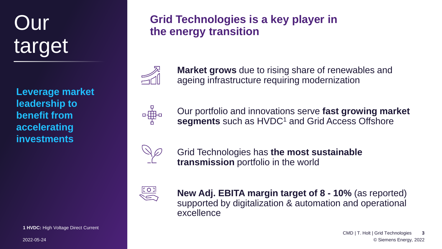# target

**Leverage market leadership to benefit from accelerating investments**

**1 HVDC:** High Voltage Direct Current

2022-05-24

# **Our Grid Technologies is a key player in the energy transition**



**Market grows** due to rising share of renewables and ageing infrastructure requiring modernization



Our portfolio and innovations serve **fast growing market segments** such as HVDC<sup>1</sup> and Grid Access Offshore



Grid Technologies has **the most sustainable transmission** portfolio in the world



**New Adj. EBITA margin target of 8 - 10%** (as reported) supported by digitalization & automation and operational excellence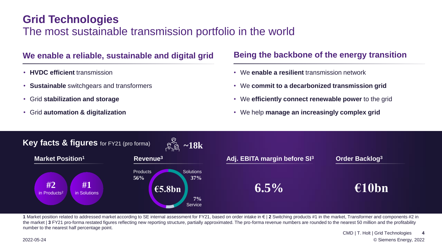#### **Grid Technologies**

#### The most sustainable transmission portfolio in the world

#### **We enable a reliable, sustainable and digital grid Being the backbone of the energy transition**

- **HVDC efficient** transmission
- **Sustainable** switchgears and transformers
- Grid **stabilization and storage**
- Grid **automation & digitalization**

- We **enable a resilient** transmission network
- We **commit to a decarbonized transmission grid**
- We **efficiently connect renewable power** to the grid
- We help **manage an increasingly complex grid**



**1** Market position related to addressed market according to SE internal assessment for FY21, based on order intake in € | **2** Switching products #1 in the market, Transformer and components #2 in the market | **3** FY21 pro-forma restated figures reflecting new reporting structure, partially approximated. The pro-forma revenue numbers are rounded to the nearest 50 million and the profitability number to the nearest half percentage point.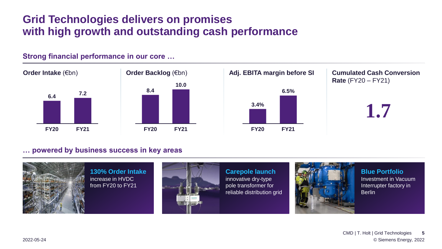#### **Grid Technologies delivers on promises with high growth and outstanding cash performance**



#### **Strong financial performance in our core …**

#### **… powered by business success in key areas**

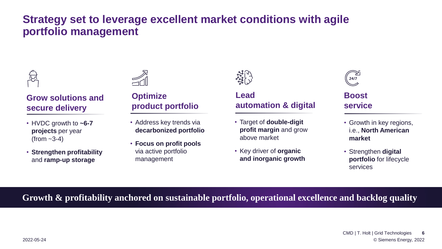#### **Strategy set to leverage excellent market conditions with agile portfolio management**



#### **Grow solutions and secure delivery**

- HVDC growth to **~6-7 projects** per year  $(from -3-4)$
- **Strengthen profitability**  and **ramp-up storage**



#### **Optimize product portfolio**

- Address key trends via **decarbonized portfolio**
- **Focus on profit pools**  via active portfolio management



#### **Lead automation & digital**

- Target of **double-digit profit margin** and grow above market
- Key driver of **organic and inorganic growth**



#### **Boost service**

- Growth in key regions, i.e., **North American market**
- Strengthen **digital portfolio** for lifecycle services

#### **Growth & profitability anchored on sustainable portfolio, operational excellence and backlog quality**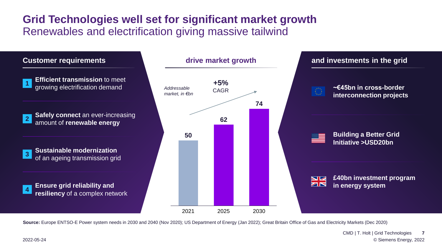#### **Grid Technologies well set for significant market growth** Renewables and electrification giving massive tailwind



**Source:** Europe ENTSO-E Power system needs in 2030 and 2040 (Nov 2020); US Department of Energy (Jan 2022); Great Britain Office of Gas and Electricity Markets (Dec 2020)

© Siemens Energy, 2022 CMD | T. Holt | Grid Technologies **7**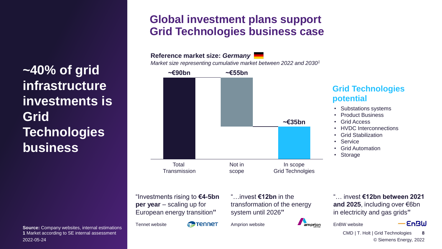**~40% of grid infrastructure investments is Grid Technologies business**

**Source:** Company websites, internal estimations **1** Market according to SE internal assessment 2022-05-24

#### **Global investment plans support Grid Technologies business case**

**Total Transmission ~€90bn** Not in scope **~€35bn** In scope Grid Technolgies **~€55bn Reference market size:** *Germany Market size representing cumulative market between 2022 and 2030<sup>1</sup>*

"Investments rising to **€4-5bn per year** – scaling up for European energy transition**"**

**P**Tennet Tennet website

"…invest **€12bn** in the transformation of the energy system until 2026**"**

Amprion website

"… invest **€12bn between 2021 and 2025**, including over €6bn in electricity and gas grids**"**

• Substations systems • Product Business

**Grid Technologies** 

• HVDC Interconnections

• Grid Stabilization

• Grid Automation

• Grid Access

**potential**

• Service

• Storage

EnBW website

amprion



© Siemens Energy, 2022 CMD | T. Holt | Grid Technologies **8**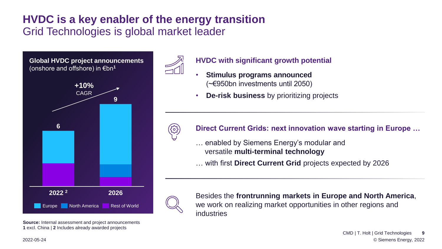#### **HVDC is a key enabler of the energy transition** Grid Technologies is global market leader

**Global HVDC project announcements**  (onshore and offshore) in €bn**<sup>1</sup> 2022 2026 <sup>2</sup> 6 9** Europe North America Rest of World **+10%** CAGR

**Source:** Internal assessment and project announcements **1** excl. China | **2** Includes already awarded projects



- **HVDC with significant growth potential**
- **Stimulus programs announced**  (~€950bn investments until 2050)
- **De-risk business** by prioritizing projects



#### **Direct Current Grids: next innovation wave starting in Europe …**

- … enabled by Siemens Energy's modular and versatile **multi-terminal technology**
- … with first **Direct Current Grid** projects expected by 2026



Besides the **frontrunning markets in Europe and North America**, we work on realizing market opportunities in other regions and industries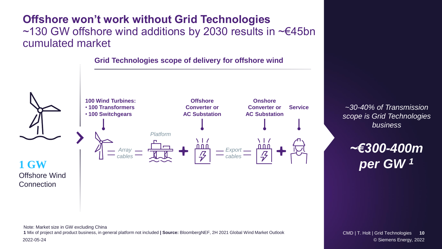#### **Offshore won't work without Grid Technologies**  ~130 GW offshore wind additions by 2030 results in ~€45bn cumulated market



Note: Market size in GW excluding China **1** Mix of project and product business, in general platform not included **| Source:** BloombergNEF, 2H 2021 Global Wind Market Outlook

*~30-40% of Transmission scope is Grid Technologies business*

*~€300-400m per GW <sup>1</sup>*

2022-05-24 © Siemens Energy, 2022 CMD | T. Holt | Grid Technologies **10**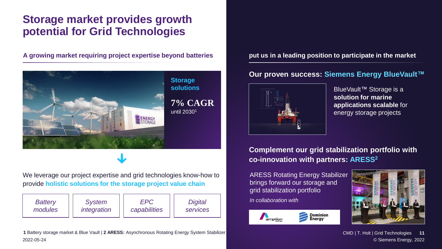#### **Storage market provides growth potential for Grid Technologies**

**A growing market requiring project expertise beyond batteries put us in a leading position to participate in the market**



We leverage our project expertise and grid technologies know-how to provide **holistic solutions for the storage project value chain**

| <b>Battery</b> | <b>System</b> | EPC          | <b>Digital</b>  |
|----------------|---------------|--------------|-----------------|
| modules        | integration   | capabilities | <b>Services</b> |

2022-05-24 © Siemens Energy, 2022 **1** Battery storage market & Blue Vault | **2 ARESS:** Asynchronous Rotating Energy System Stabilizer

#### **Our proven success: Siemens Energy BlueVault™**



BlueVault™ Storage is a **solution for marine applications scalable** for energy storage projects

**Complement our grid stabilization portfolio with co-innovation with partners: ARESS<sup>2</sup>**

ARESS Rotating Energy Stabilizer brings forward our storage and grid stabilization portfolio *In collaboration with*





CMD | T. Holt | Grid Technologies **11**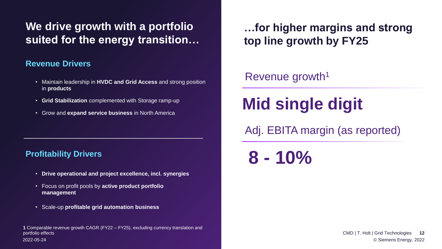### We drive growth with a portfolio **wich in the light of the drive strong suited for the energy transition…**

#### **Revenue Drivers**

- Maintain leadership in **HVDC and Grid Access** and strong position in **products**
- **Grid Stabilization** complemented with Storage ramp-up
- Grow and **expand service business** in North America

#### **Profitability Drivers**

- **Drive operational and project excellence, incl. synergies**
- Focus on profit pools by **active product portfolio management**
- Scale-up **profitable grid automation business**

2022-05-24 © Siemens Energy, 2022 **1** Comparable revenue growth CAGR (FY22 – FY25), excluding currency translation and portfolio effects

**top line growth by FY25**

#### Revenue growth<sup>1</sup>

## **Mid single digit**

Adj. EBITA margin (as reported)

**8 - 10%**

CMD | T. Holt | Grid Technologies **12**